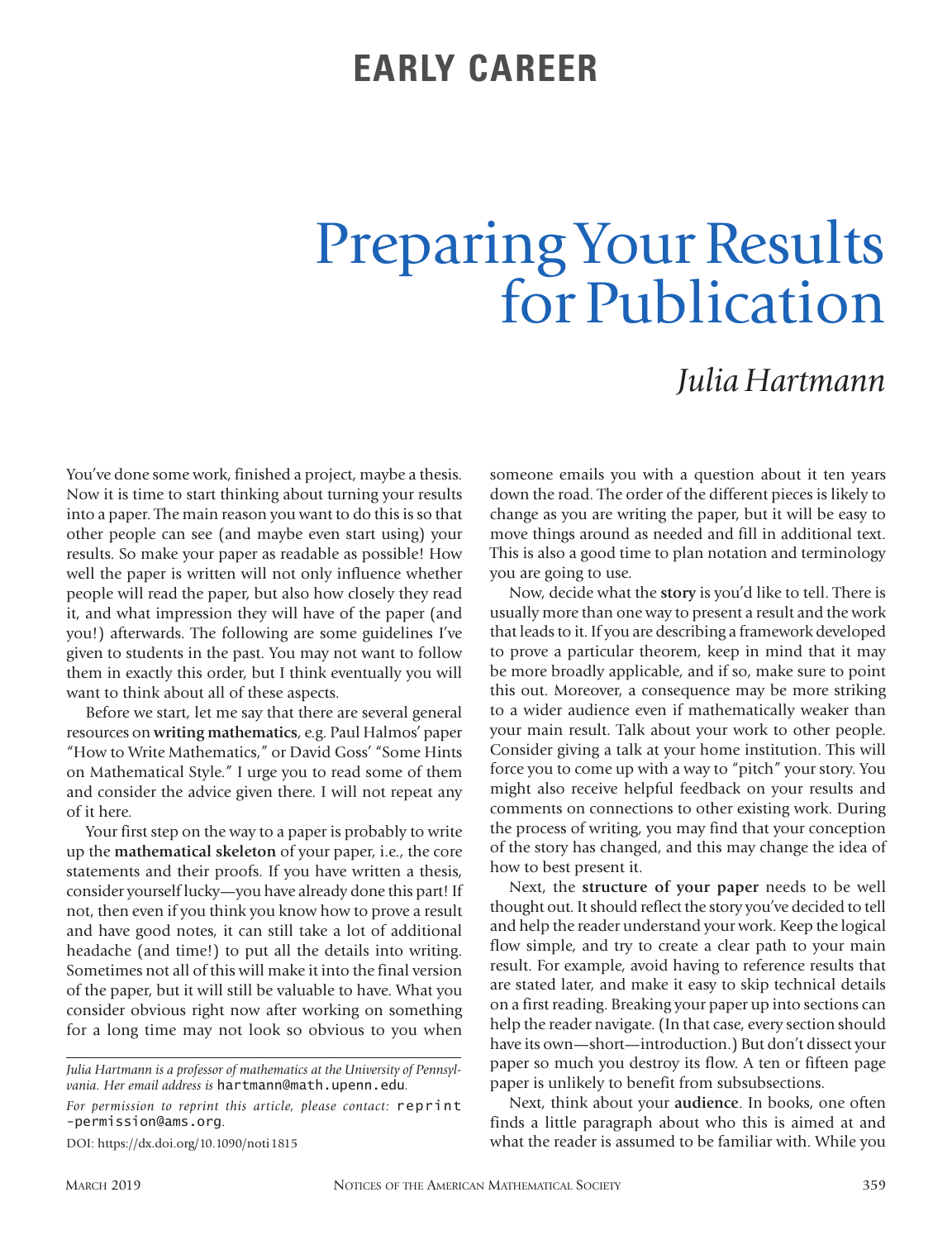## **EARLY CAREER**

## Preparing Your Results for Publication

## *Julia Hartmann*

You've done some work, finished a project, maybe a thesis. Now it is time to start thinking about turning your results into a paper. The main reason you want to do this is so that other people can see (and maybe even start using) your results. So make your paper as readable as possible! How well the paper is written will not only influence whether people will read the paper, but also how closely they read it, and what impression they will have of the paper (and you!) afterwards. The following are some guidelines I've given to students in the past. You may not want to follow them in exactly this order, but I think eventually you will want to think about all of these aspects.

Before we start, let me say that there are several general resources on **writing mathematics**, e.g. Paul Halmos' paper "How to Write Mathematics," or David Goss' "Some Hints on Mathematical Style." I urge you to read some of them and consider the advice given there. I will not repeat any of it here.

Your first step on the way to a paper is probably to write up the **mathematical skeleton** of your paper, i.e., the core statements and their proofs. If you have written a thesis, consider yourself lucky—you have already done this part! If not, then even if you think you know how to prove a result and have good notes, it can still take a lot of additional headache (and time!) to put all the details into writing. Sometimes not all of this will make it into the final version of the paper, but it will still be valuable to have. What you consider obvious right now after working on something for a long time may not look so obvious to you when

DOI: https://dx.doi.org/10.1090/noti1815

someone emails you with a question about it ten years down the road. The order of the different pieces is likely to change as you are writing the paper, but it will be easy to move things around as needed and fill in additional text. This is also a good time to plan notation and terminology you are going to use.

Now, decide what the **story** is you'd like to tell. There is usually more than one way to present a result and the work that leads to it. If you are describing a framework developed to prove a particular theorem, keep in mind that it may be more broadly applicable, and if so, make sure to point this out. Moreover, a consequence may be more striking to a wider audience even if mathematically weaker than your main result. Talk about your work to other people. Consider giving a talk at your home institution. This will force you to come up with a way to "pitch" your story. You might also receive helpful feedback on your results and comments on connections to other existing work. During the process of writing, you may find that your conception of the story has changed, and this may change the idea of how to best present it.

Next, the **structure of your paper** needs to be well thought out. It should reflect the story you've decided to tell and help the reader understand your work. Keep the logical flow simple, and try to create a clear path to your main result. For example, avoid having to reference results that are stated later, and make it easy to skip technical details on a first reading. Breaking your paper up into sections can help the reader navigate. (In that case, every section should have its own—short—introduction.) But don't dissect your paper so much you destroy its flow. A ten or fifteen page paper is unlikely to benefit from subsubsections.

Next, think about your **audience**. In books, one often finds a little paragraph about who this is aimed at and what the reader is assumed to be familiar with. While you

*Julia Hartmann is a professor of mathematics at the University of Pennsylvania. Her email address is* hartmann@math.upenn.edu*.*

*For permission to reprint this article, please contact:* reprint -permission@ams.org.